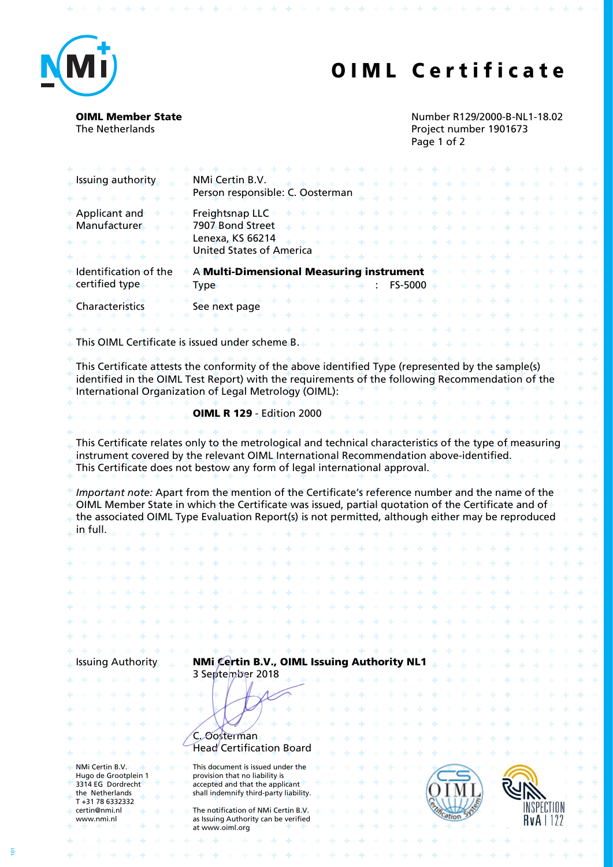

## OIML Certificate

**ALACA ALACA** 

 $\mathcal{A}_{\mathcal{C}}$ 

OIML Member State The Netherlands

\* \* \* \* \* \* \* \* \* \* \* \* \* \* \* \* \* \*

Number R129/2000-B-NL1-18.02 Project number 1901673 Page 1 of 2

У.

 $\sim$ 4

| Issuing authority                                            | NMi Certin B.V.<br>Person responsible: C. Oosterman                                                                                                                                                                                                                                                         |              |                  |
|--------------------------------------------------------------|-------------------------------------------------------------------------------------------------------------------------------------------------------------------------------------------------------------------------------------------------------------------------------------------------------------|--------------|------------------|
| Applicant and<br>Manufacturer                                | Freightsnap LLC<br>7907 Bond Street<br>Lenexa, KS 66214<br><b>United States of America</b>                                                                                                                                                                                                                  |              |                  |
| Identification of the                                        | A Multi-Dimensional Measuring instrument                                                                                                                                                                                                                                                                    |              |                  |
| certified type                                               | <b>Type</b>                                                                                                                                                                                                                                                                                                 | FS-5000<br>٠ |                  |
| Characteristics                                              | See next page                                                                                                                                                                                                                                                                                               |              |                  |
|                                                              | This OIML Certificate is issued under scheme B.                                                                                                                                                                                                                                                             |              |                  |
|                                                              | This Certificate attests the conformity of the above identified Type (represented by the sample(s)<br>identified in the OIML Test Report) with the requirements of the following Recommendation of the<br>International Organization of Legal Metrology (OIML):                                             |              |                  |
|                                                              | <b>OIML R 129 - Edition 2000</b>                                                                                                                                                                                                                                                                            |              |                  |
|                                                              | This Certificate relates only to the metrological and technical characteristics of the type of measuring<br>instrument covered by the relevant OIML International Recommendation above-identified.<br>This Certificate does not bestow any form of legal international approval.                            |              |                  |
| in full.                                                     | Important note: Apart from the mention of the Certificate's reference number and the name of the<br>OIML Member State in which the Certificate was issued, partial quotation of the Certificate and of<br>the associated OIML Type Evaluation Report(s) is not permitted, although either may be reproduced |              |                  |
|                                                              |                                                                                                                                                                                                                                                                                                             |              |                  |
|                                                              |                                                                                                                                                                                                                                                                                                             |              |                  |
|                                                              |                                                                                                                                                                                                                                                                                                             |              |                  |
|                                                              |                                                                                                                                                                                                                                                                                                             |              |                  |
|                                                              |                                                                                                                                                                                                                                                                                                             |              |                  |
|                                                              |                                                                                                                                                                                                                                                                                                             |              |                  |
|                                                              |                                                                                                                                                                                                                                                                                                             |              |                  |
| <b>Issuing Authority</b>                                     | NMi Certin B.V., OIML Issuing Authority NL1<br>3 September 2018                                                                                                                                                                                                                                             |              |                  |
|                                                              | <b><i>Oosterman</i></b><br>Head Certification Board                                                                                                                                                                                                                                                         |              |                  |
| NMi Certin B.V.                                              | This document is issued under the                                                                                                                                                                                                                                                                           |              |                  |
| Hugo de Grootplein 1<br>3314 EG Dordrecht<br>the Netherlands | provision that no liability is<br>accepted and that the applicant<br>shall indemnify third-party liability.                                                                                                                                                                                                 |              |                  |
| T+31786332332<br>certin@nmi.nl<br>www.nmi.nl                 | The notification of NMi Certin B.V.<br>as Issuing Authority can be verified                                                                                                                                                                                                                                 |              | <b>RvA</b>   122 |